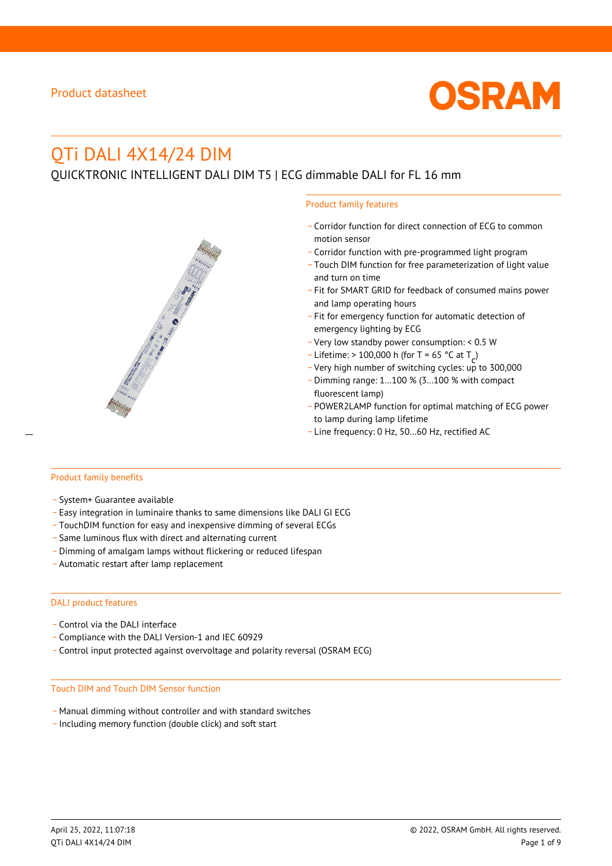

# QTi DALI 4X14/24 DIM

QUICKTRONIC INTELLIGENT DALI DIM T5 | ECG dimmable DALI for FL 16 mm



- \_ Corridor function for direct connection of ECG to common motion sensor
- \_ Corridor function with pre-programmed light program
- \_ Touch DIM function for free parameterization of light value and turn on time
- Fit for SMART GRID for feedback of consumed mains power and lamp operating hours
- \_ Fit for emergency function for automatic detection of emergency lighting by ECG
- \_ Very low standby power consumption: < 0.5 W
- $-$  Lifetime: > 100,000 h (for T = 65 °C at T
- Litedine. The 100,000 in (ion 1 05 ° C at  $1\frac{c^7}{c^7}$ <br>- Very high number of switching cycles: up to 300,000
- \_ Dimming range: 1…100 % (3…100 % with compact fluorescent lamp)
- POWER2LAMP function for optimal matching of ECG power to lamp during lamp lifetime
- Line frequency: 0 Hz, 50...60 Hz, rectified AC

#### Product family benefits

- \_ System+ Guarantee available
- \_ Easy integration in luminaire thanks to same dimensions like DALI GI ECG
- \_ TouchDIM function for easy and inexpensive dimming of several ECGs
- \_ Same luminous flux with direct and alternating current
- \_ Dimming of amalgam lamps without flickering or reduced lifespan
- \_ Automatic restart after lamp replacement

#### DALI product features

- Control via the DALI interface
- \_ Compliance with the DALI Version-1 and IEC 60929
- \_ Control input protected against overvoltage and polarity reversal (OSRAM ECG)

#### Touch DIM and Touch DIM Sensor function

- \_ Manual dimming without controller and with standard switches
- \_ Including memory function (double click) and soft start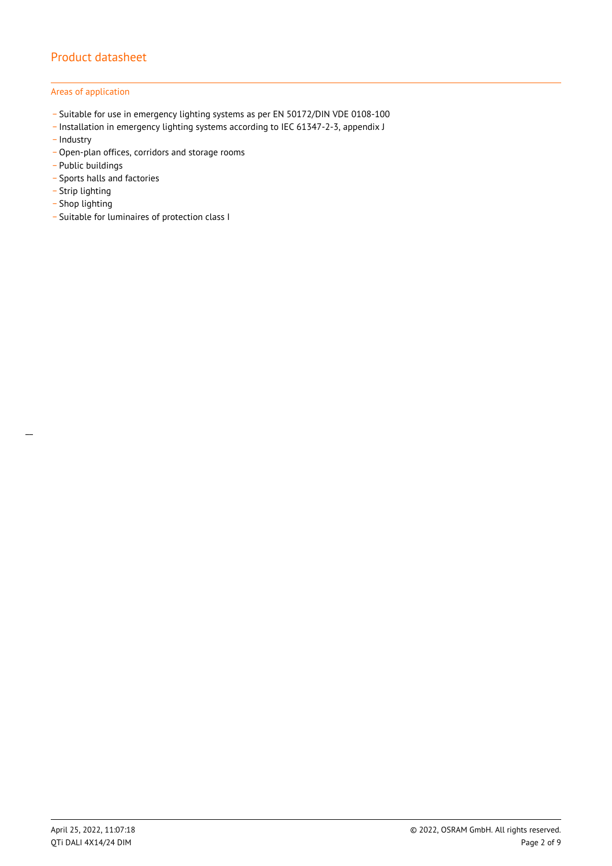### Areas of application

- \_ Suitable for use in emergency lighting systems as per EN 50172/DIN VDE 0108-100
- \_ Installation in emergency lighting systems according to IEC 61347-2-3, appendix J
- Industry
- \_ Open-plan offices, corridors and storage rooms
- \_ Public buildings
- \_ Sports halls and factories
- .<br>- Strip lighting
- \_ Shop lighting
- \_ Suitable for luminaires of protection class I

 $\overline{a}$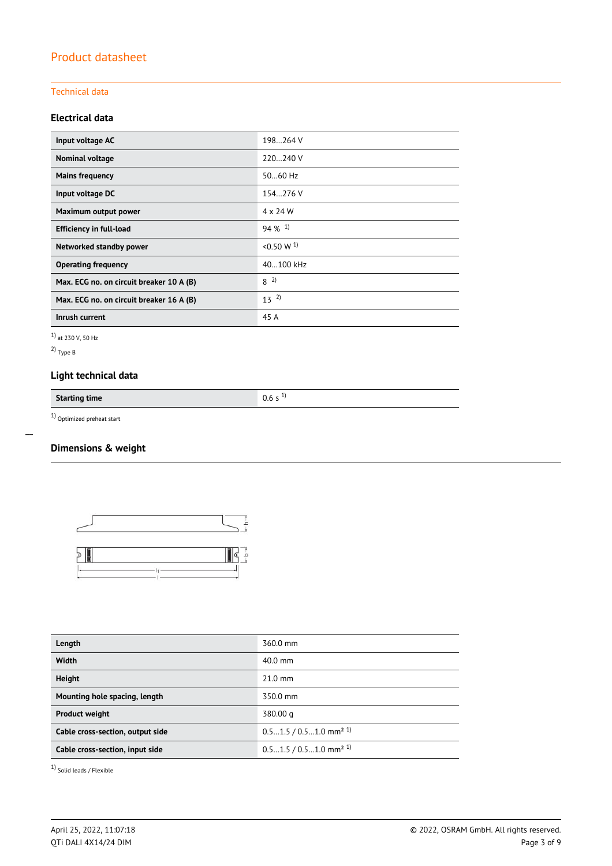### Technical data

### **Electrical data**

| Input voltage AC                         | 198264 V             |
|------------------------------------------|----------------------|
| Nominal voltage                          | 220240 V             |
| <b>Mains frequency</b>                   | $5060$ Hz            |
| Input voltage DC                         | 154.276 V            |
| Maximum output power                     | 4 x 24 W             |
| <b>Efficiency in full-load</b>           | $94\%$ <sup>1)</sup> |
| Networked standby power                  | $< 0.50 W^{1}$       |
| <b>Operating frequency</b>               | 40100 kHz            |
| Max. ECG no. on circuit breaker 10 A (B) | $8^{2}$              |
| Max. ECG no. on circuit breaker 16 A (B) | $13^{2}$             |
| Inrush current                           | 45 A                 |

1) at 230 V, 50 Hz

2) Type B

 $\overline{a}$ 

# **Light technical data**

**Starting time** 0.6 s <sup>1)</sup>

 $1)$  Optimized preheat start

## **Dimensions & weight**



| Length                           | 360.0 mm                             |
|----------------------------------|--------------------------------------|
| <b>Width</b>                     | 40.0 mm                              |
| <b>Height</b>                    | $21.0$ mm                            |
| Mounting hole spacing, length    | 350.0 mm                             |
| <b>Product weight</b>            | 380.00 g                             |
| Cable cross-section, output side | $0.51.5/0.51.0$ mm <sup>2 1)</sup>   |
| Cable cross-section, input side  | $0.51.5 / 0.51.0$ mm <sup>2 1)</sup> |
|                                  |                                      |

1) Solid leads / Flexible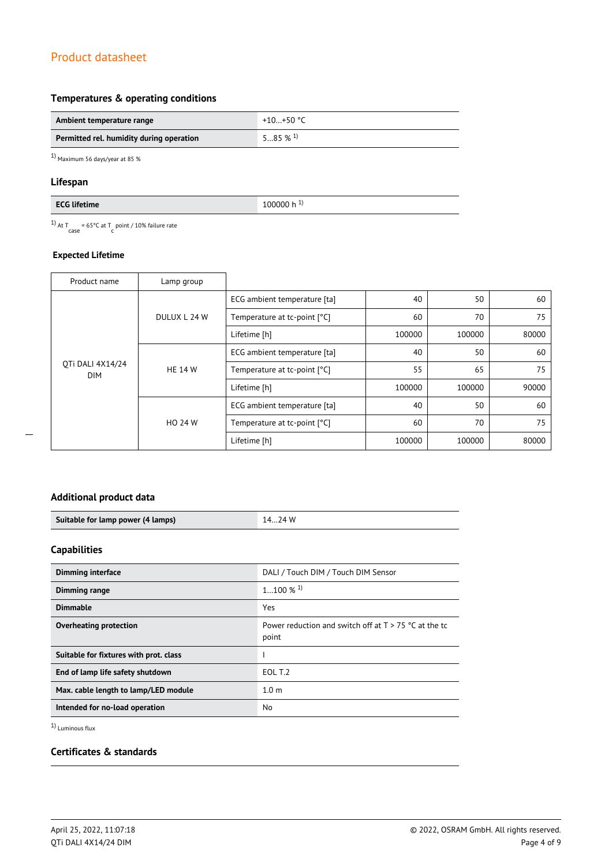### **Temperatures & operating conditions**

| Ambient temperature range                | +10+50 $^{\circ}$ C   |
|------------------------------------------|-----------------------|
| Permitted rel. humidity during operation | $585\%$ <sup>1)</sup> |

1) Maximum 56 days/year at 85 %

### **Lifespan**

<sup>1)</sup> At T<sub>case</sub> = 65°C at T<sub>c</sub> point / 10% failure rate

### **Expected Lifetime**

| Product name                   | Lamp group     |                              |        |        |       |
|--------------------------------|----------------|------------------------------|--------|--------|-------|
| OTi DALI 4X14/24<br><b>DIM</b> | DULUX L 24 W   | ECG ambient temperature [ta] | 40     | 50     | 60    |
|                                |                | Temperature at tc-point [°C] | 60     | 70     | 75    |
|                                |                | Lifetime [h]                 | 100000 | 100000 | 80000 |
|                                | <b>HE 14 W</b> | ECG ambient temperature [ta] | 40     | 50     | 60    |
|                                |                | Temperature at tc-point [°C] | 55     | 65     | 75    |
|                                |                | Lifetime [h]                 | 100000 | 100000 | 90000 |
|                                | <b>HO 24 W</b> | ECG ambient temperature [ta] | 40     | 50     | 60    |
|                                |                | Temperature at tc-point [°C] | 60     | 70     | 75    |
|                                |                | Lifetime [h]                 | 100000 | 100000 | 80000 |

### **Additional product data**

| Suitable for lamp power (4 lamps) | 74 W |
|-----------------------------------|------|

### **Capabilities**

| <b>Dimming interface</b>               | DALI / Touch DIM / Touch DIM Sensor                              |
|----------------------------------------|------------------------------------------------------------------|
| Dimming range                          | $1100\%$ <sup>1)</sup>                                           |
| <b>Dimmable</b>                        | Yes                                                              |
| Overheating protection                 | Power reduction and switch off at $T > 75$ °C at the tc<br>point |
| Suitable for fixtures with prot. class |                                                                  |
| End of lamp life safety shutdown       | EOL T.2                                                          |
| Max. cable length to lamp/LED module   | 1.0 <sub>m</sub>                                                 |
| Intended for no-load operation         | No.                                                              |

1) Luminous flux

### **Certificates & standards**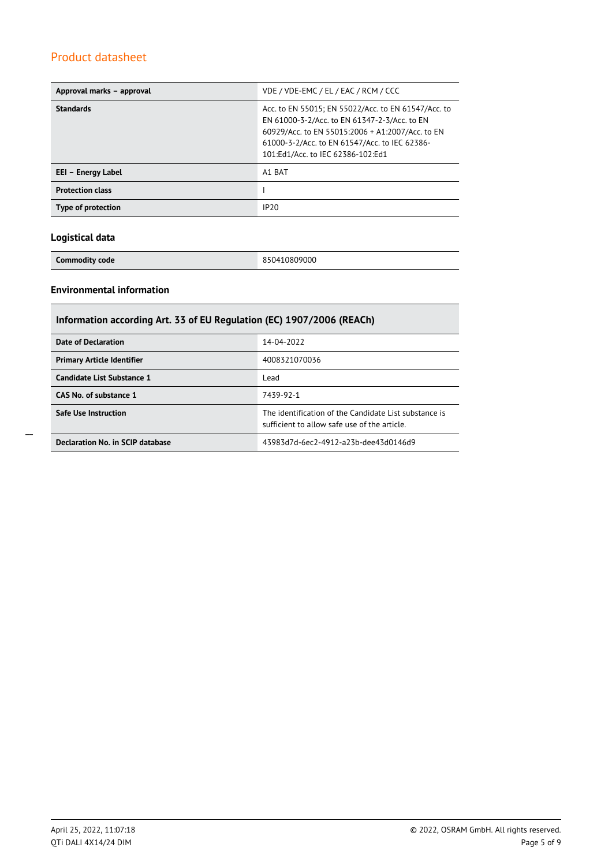| Approval marks - approval | VDE / VDE-EMC / EL / EAC / RCM / CCC                                                                                                                                                                                                          |
|---------------------------|-----------------------------------------------------------------------------------------------------------------------------------------------------------------------------------------------------------------------------------------------|
| <b>Standards</b>          | Acc. to EN 55015; EN 55022/Acc. to EN 61547/Acc. to<br>EN 61000-3-2/Acc. to EN 61347-2-3/Acc. to EN<br>60929/Acc. to EN 55015:2006 + A1:2007/Acc. to EN<br>61000-3-2/Acc. to EN 61547/Acc. to IEC 62386-<br>101:Ed1/Acc. to IEC 62386-102:Ed1 |
| EEI - Energy Label        | A1 BAT                                                                                                                                                                                                                                        |
| <b>Protection class</b>   |                                                                                                                                                                                                                                               |
| Type of protection        | IP <sub>20</sub>                                                                                                                                                                                                                              |

### **Logistical data**

**Commodity code** 850410809000

### **Environmental information**

| Information according Art. 33 of EU Regulation (EC) 1907/2006 (REACh) |                                                                                                      |  |  |
|-----------------------------------------------------------------------|------------------------------------------------------------------------------------------------------|--|--|
| Date of Declaration                                                   | 14-04-2022                                                                                           |  |  |
| <b>Primary Article Identifier</b>                                     | 4008321070036                                                                                        |  |  |
| Candidate List Substance 1                                            | Lead                                                                                                 |  |  |
| CAS No. of substance 1                                                | 7439-92-1                                                                                            |  |  |
| <b>Safe Use Instruction</b>                                           | The identification of the Candidate List substance is<br>sufficient to allow safe use of the article |  |  |
| Declaration No. in SCIP database                                      | 43983d7d-6ec2-4912-a23b-dee43d0146d9                                                                 |  |  |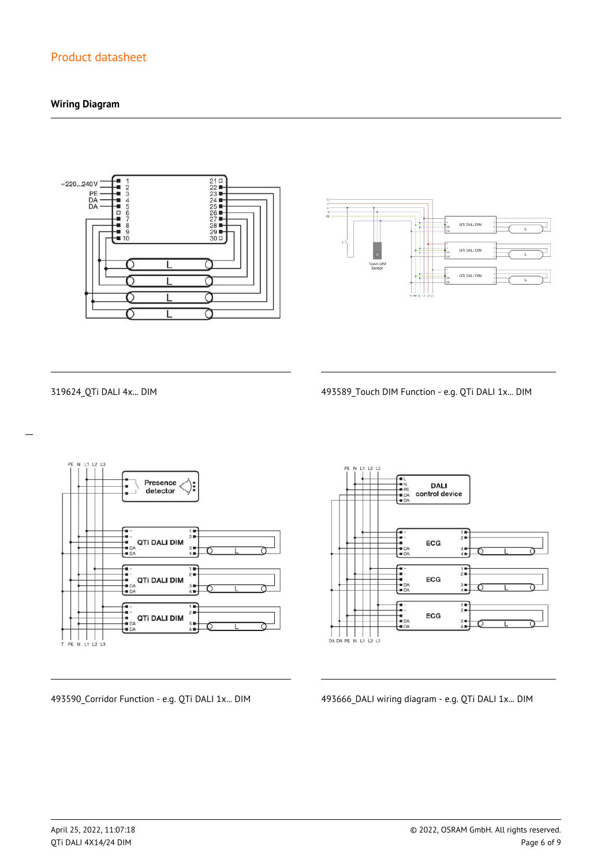### **Wiring Diagram**





 $\overline{a}$ 

319624\_QTi DALI 4x... DIM 493589\_Touch DIM Function - e.g. QTi DALI 1x... DIM



 $L2$ **DALI** control device  $\frac{1}{2}$ ECG  $\frac{3}{4}$  $\begin{array}{c}\n\overline{11} \\
\overline{21} \\
\overline{11}\n\end{array}$ --<br>--<br>-- DA<br>-- DA ECG  $3 +$ <br> $4 +$  $\frac{1}{2}$  $\frac{1}{2}$ ECG  $3 +$ 

493590\_Corridor Function - e.g. QTi DALI 1x... DIM 493666\_DALI wiring diagram - e.g. QTi DALI 1x... DIM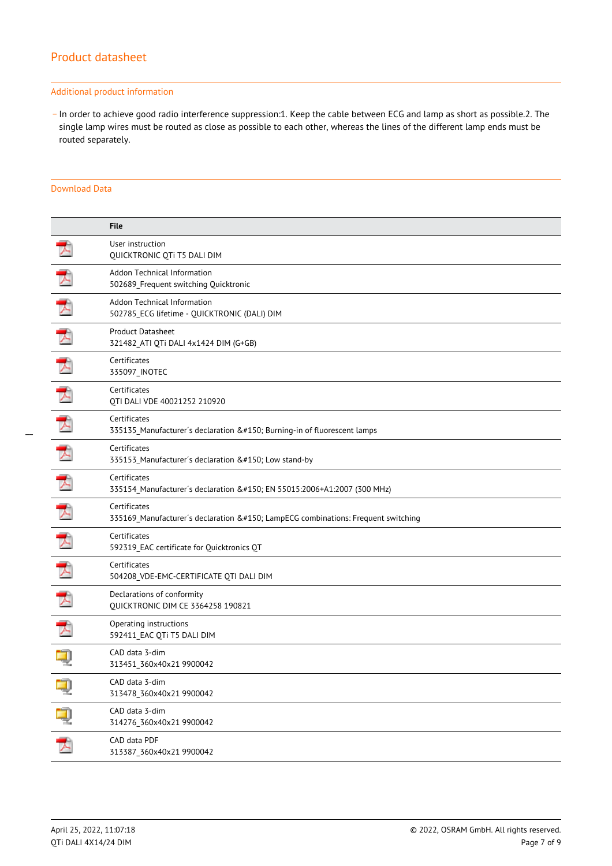#### Additional product information

\_ In order to achieve good radio interference suppression:1. Keep the cable between ECG and lamp as short as possible.2. The single lamp wires must be routed as close as possible to each other, whereas the lines of the different lamp ends must be routed separately.

#### Download Data

|   | <b>File</b>                                                                                  |
|---|----------------------------------------------------------------------------------------------|
|   | User instruction<br>QUICKTRONIC QTi T5 DALI DIM                                              |
|   | Addon Technical Information<br>502689_Frequent switching Quicktronic                         |
| プ | Addon Technical Information<br>502785_ECG lifetime - QUICKTRONIC (DALI) DIM                  |
|   | <b>Product Datasheet</b><br>321482 ATI QTi DALI 4x1424 DIM (G+GB)                            |
|   | Certificates<br>335097_INOTEC                                                                |
| ᆽ | Certificates<br>QTI DALI VDE 40021252 210920                                                 |
|   | Certificates<br>335135_Manufacturer's declaration – Burning-in of fluorescent lamps          |
| 入 | Certificates<br>335153_Manufacturer's declaration – Low stand-by                             |
| ᆽ | Certificates<br>335154 Manufacturer's declaration – EN 55015:2006+A1:2007 (300 MHz)          |
|   | Certificates<br>335169_Manufacturer's declaration – LampECG combinations: Frequent switching |
| ᆺ | Certificates<br>592319_EAC certificate for Quicktronics QT                                   |
|   | Certificates<br>504208_VDE-EMC-CERTIFICATE QTI DALI DIM                                      |
|   | Declarations of conformity<br>QUICKTRONIC DIM CE 3364258 190821                              |
| ⋥ | Operating instructions<br>592411_EAC QTi T5 DALI DIM                                         |
|   | CAD data 3-dim<br>313451_360x40x21 9900042                                                   |
|   | CAD data 3-dim<br>313478_360x40x21 9900042                                                   |
| ą | CAD data 3-dim<br>314276_360x40x21 9900042                                                   |
| プ | CAD data PDF<br>313387_360x40x21 9900042                                                     |
|   |                                                                                              |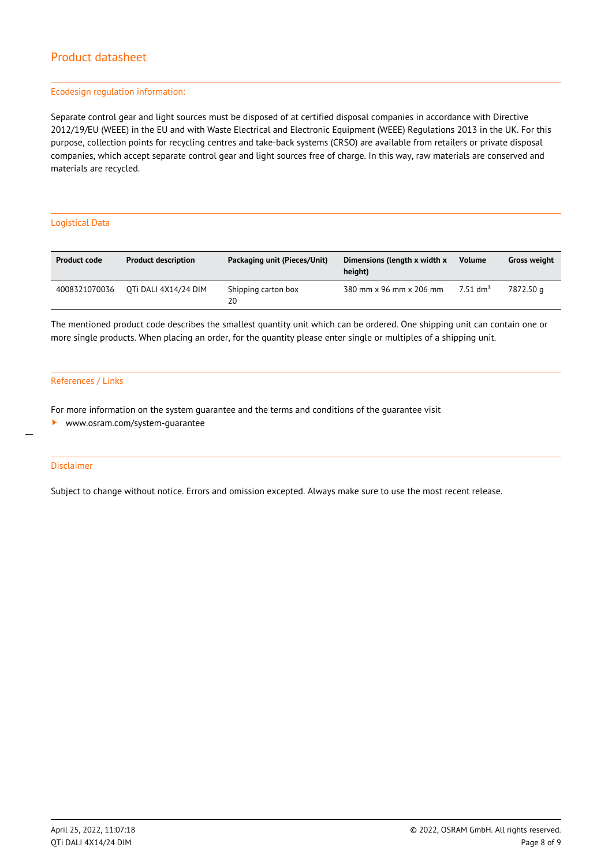#### Ecodesign regulation information:

Separate control gear and light sources must be disposed of at certified disposal companies in accordance with Directive 2012/19/EU (WEEE) in the EU and with Waste Electrical and Electronic Equipment (WEEE) Regulations 2013 in the UK. For this purpose, collection points for recycling centres and take-back systems (CRSO) are available from retailers or private disposal companies, which accept separate control gear and light sources free of charge. In this way, raw materials are conserved and materials are recycled.

#### Logistical Data

| <b>Product code</b> | <b>Product description</b> | Packaging unit (Pieces/Unit) | Dimensions (length x width x<br>height) | <b>Volume</b>          | <b>Gross weight</b> |
|---------------------|----------------------------|------------------------------|-----------------------------------------|------------------------|---------------------|
| 4008321070036       | OTI DALI 4X14/24 DIM       | Shipping carton box<br>20    | 380 mm x 96 mm x 206 mm                 | $7.51$ dm <sup>3</sup> | 7872.50 a           |

The mentioned product code describes the smallest quantity unit which can be ordered. One shipping unit can contain one or more single products. When placing an order, for the quantity please enter single or multiples of a shipping unit.

#### References / Links

For more information on the system guarantee and the terms and conditions of the guarantee visit

<www.osram.com/system-guarantee>

#### Disclaimer

 $\overline{a}$ 

Subject to change without notice. Errors and omission excepted. Always make sure to use the most recent release.